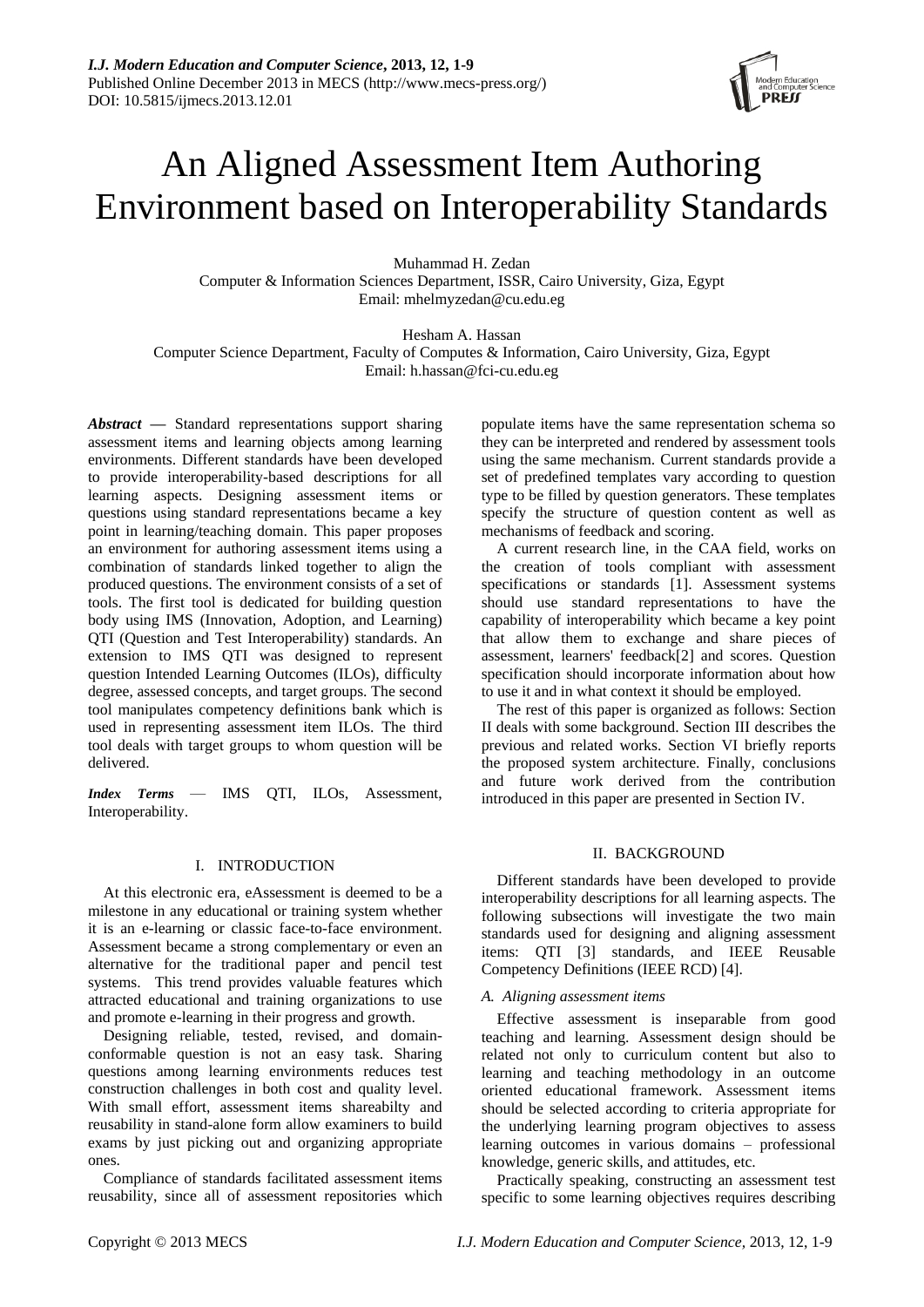# An Aligned Assessment Item Authoring Environment based on Interoperability Standards

Muhammad H. Zedan Computer & Information Sciences Department, ISSR, Cairo University, Giza, Egypt Email: mhelmyzedan@cu.edu.eg

Hesham A. Hassan Computer Science Department, Faculty of Computes & Information, Cairo University, Giza, Egypt Email: h.hassan@fci-cu.edu.eg

*Abstract* **—** Standard representations support sharing assessment items and learning objects among learning environments. Different standards have been developed to provide interoperability-based descriptions for all learning aspects. Designing assessment items or questions using standard representations became a key point in learning/teaching domain. This paper proposes an environment for authoring assessment items using a combination of standards linked together to align the produced questions. The environment consists of a set of tools. The first tool is dedicated for building question body using IMS (Innovation, Adoption, and Learning) QTI (Question and Test Interoperability) standards. An extension to IMS QTI was designed to represent question Intended Learning Outcomes (ILOs), difficulty degree, assessed concepts, and target groups. The second tool manipulates competency definitions bank which is used in representing assessment item ILOs. The third tool deals with target groups to whom question will be delivered.

*Index Terms* — IMS QTI, ILOs, Assessment, Interoperability.

# I. INTRODUCTION

At this electronic era, eAssessment is deemed to be a milestone in any educational or training system whether it is an e-learning or classic face-to-face environment. Assessment became a strong complementary or even an alternative for the traditional paper and pencil test systems. This trend provides valuable features which attracted educational and training organizations to use and promote e-learning in their progress and growth.

Designing reliable, tested, revised, and domainconformable question is not an easy task. Sharing questions among learning environments reduces test construction challenges in both cost and quality level. With small effort, assessment items shareabilty and reusability in stand-alone form allow examiners to build exams by just picking out and organizing appropriate ones.

Compliance of standards facilitated assessment items reusability, since all of assessment repositories which

populate items have the same representation schema so they can be interpreted and rendered by assessment tools using the same mechanism. Current standards provide a set of predefined templates vary according to question type to be filled by question generators. These templates specify the structure of question content as well as mechanisms of feedback and scoring.

A current research line, in the CAA field, works on the creation of tools compliant with assessment specifications or standards [1]. Assessment systems should use standard representations to have the capability of interoperability which became a key point that allow them to exchange and share pieces of assessment, learners' feedback[2] and scores. Question specification should incorporate information about how to use it and in what context it should be employed.

The rest of this paper is organized as follows: Section II deals with some background. Section III describes the previous and related works. Section VI briefly reports the proposed system architecture. Finally, conclusions and future work derived from the contribution introduced in this paper are presented in Section IV.

# II. BACKGROUND

Different standards have been developed to provide interoperability descriptions for all learning aspects. The following subsections will investigate the two main standards used for designing and aligning assessment items: QTI [3] standards, and IEEE Reusable Competency Definitions (IEEE RCD) [4].

# *A. Aligning assessment items*

Effective assessment is inseparable from good teaching and learning. Assessment design should be related not only to curriculum content but also to learning and teaching methodology in an outcome oriented educational framework. Assessment items should be selected according to criteria appropriate for the underlying learning program objectives to assess learning outcomes in various domains – professional knowledge, generic skills, and attitudes, etc.

Practically speaking, constructing an assessment test specific to some learning objectives requires describing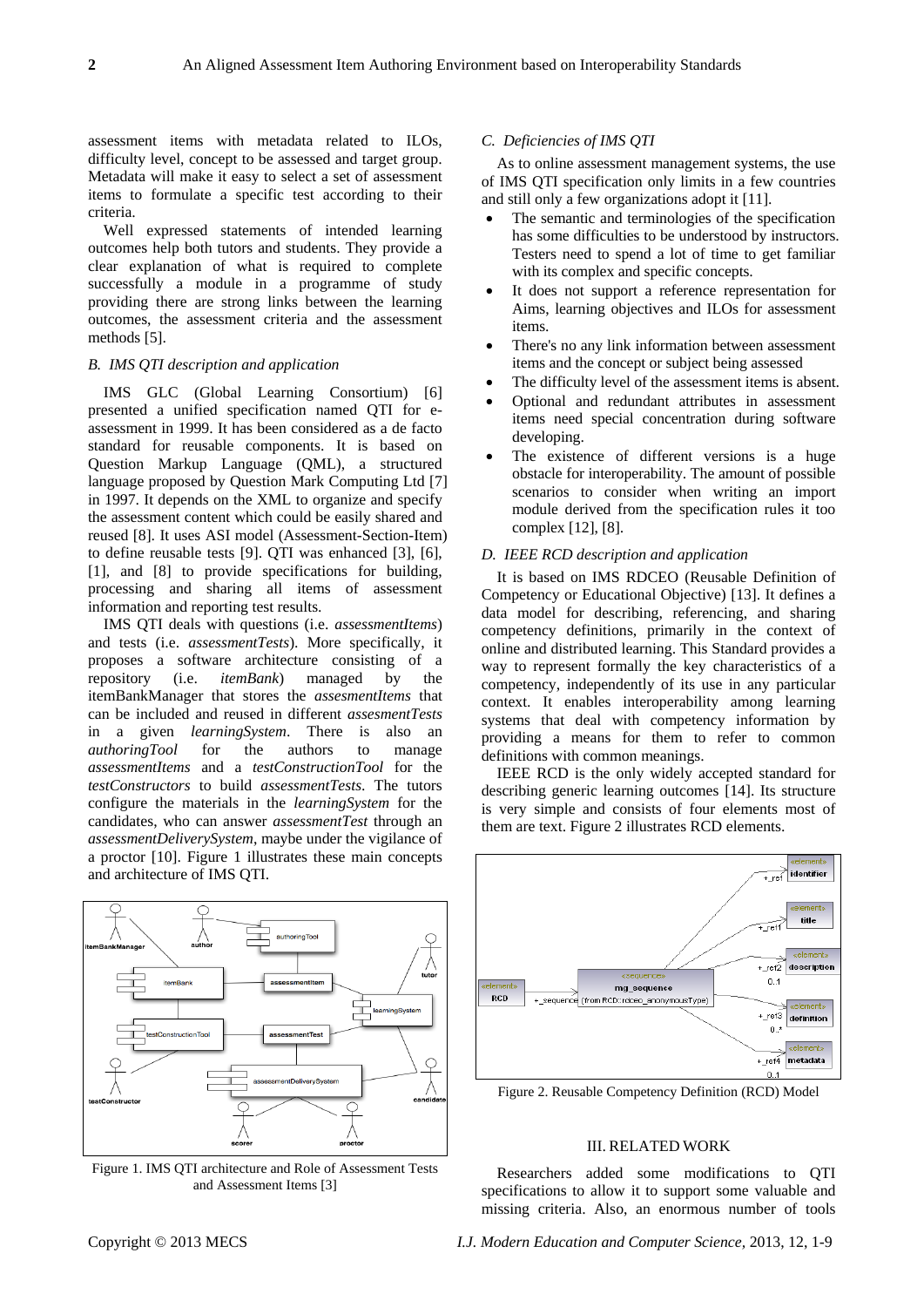assessment items with metadata related to ILOs, difficulty level, concept to be assessed and target group. Metadata will make it easy to select a set of assessment items to formulate a specific test according to their criteria.

Well expressed statements of intended learning outcomes help both tutors and students. They provide a clear explanation of what is required to complete successfully a module in a programme of study providing there are strong links between the learning outcomes, the assessment criteria and the assessment methods [5].

### *B. IMS QTI description and application*

IMS GLC (Global Learning Consortium) [6] presented a unified specification named QTI for eassessment in 1999. It has been considered as a de facto standard for reusable components. It is based on Question Markup Language (QML), a structured language proposed by Question Mark Computing Ltd [7] in 1997. It depends on the XML to organize and specify the assessment content which could be easily shared and reused [8]. It uses ASI model (Assessment-Section-Item) to define reusable tests [9]. QTI was enhanced [3], [6], [1], and [8] to provide specifications for building, processing and sharing all items of assessment information and reporting test results.

IMS QTI deals with questions (i.e. *assessmentItems*) and tests (i.e. *assessmentTests*). More specifically, it proposes a software architecture consisting of a repository (i.e. *itemBank*) managed by the itemBankManager that stores the *assesmentItems* that can be included and reused in different *assesmentTests* in a given *learningSystem*. There is also an *authoringTool* for the authors to manage *assessmentItems* and a *testConstructionTool* for the *testConstructors* to build *assessmentTests*. The tutors configure the materials in the *learningSystem* for the candidates, who can answer *assessmentTest* through an *assessmentDeliverySystem*, maybe under the vigilance of a proctor [10]. Figure 1 illustrates these main concepts and architecture of IMS QTI.



Figure 1. IMS QTI architecture and Role of Assessment Tests and Assessment Items [3]

### *C. Deficiencies of IMS QTI*

As to online assessment management systems, the use of IMS QTI specification only limits in a few countries and still only a few organizations adopt it [11].

- The semantic and terminologies of the specification has some difficulties to be understood by instructors. Testers need to spend a lot of time to get familiar with its complex and specific concepts.
- It does not support a reference representation for Aims, learning objectives and ILOs for assessment items.
- There's no any link information between assessment items and the concept or subject being assessed
- The difficulty level of the assessment items is absent.
- Optional and redundant attributes in assessment items need special concentration during software developing.
- The existence of different versions is a huge obstacle for interoperability. The amount of possible scenarios to consider when writing an import module derived from the specification rules it too complex [12], [8].

# *D. IEEE RCD description and application*

It is based on IMS RDCEO (Reusable Definition of Competency or Educational Objective) [13]. It defines a data model for describing, referencing, and sharing competency definitions, primarily in the context of online and distributed learning. This Standard provides a way to represent formally the key characteristics of a competency, independently of its use in any particular context. It enables interoperability among learning systems that deal with competency information by providing a means for them to refer to common definitions with common meanings.

IEEE RCD is the only widely accepted standard for describing generic learning outcomes [14]. Its structure is very simple and consists of four elements most of them are text. Figure 2 illustrates RCD elements.



Figure 2. Reusable Competency Definition (RCD) Model

# III. RELATED WORK

Researchers added some modifications to QTI specifications to allow it to support some valuable and missing criteria. Also, an enormous number of tools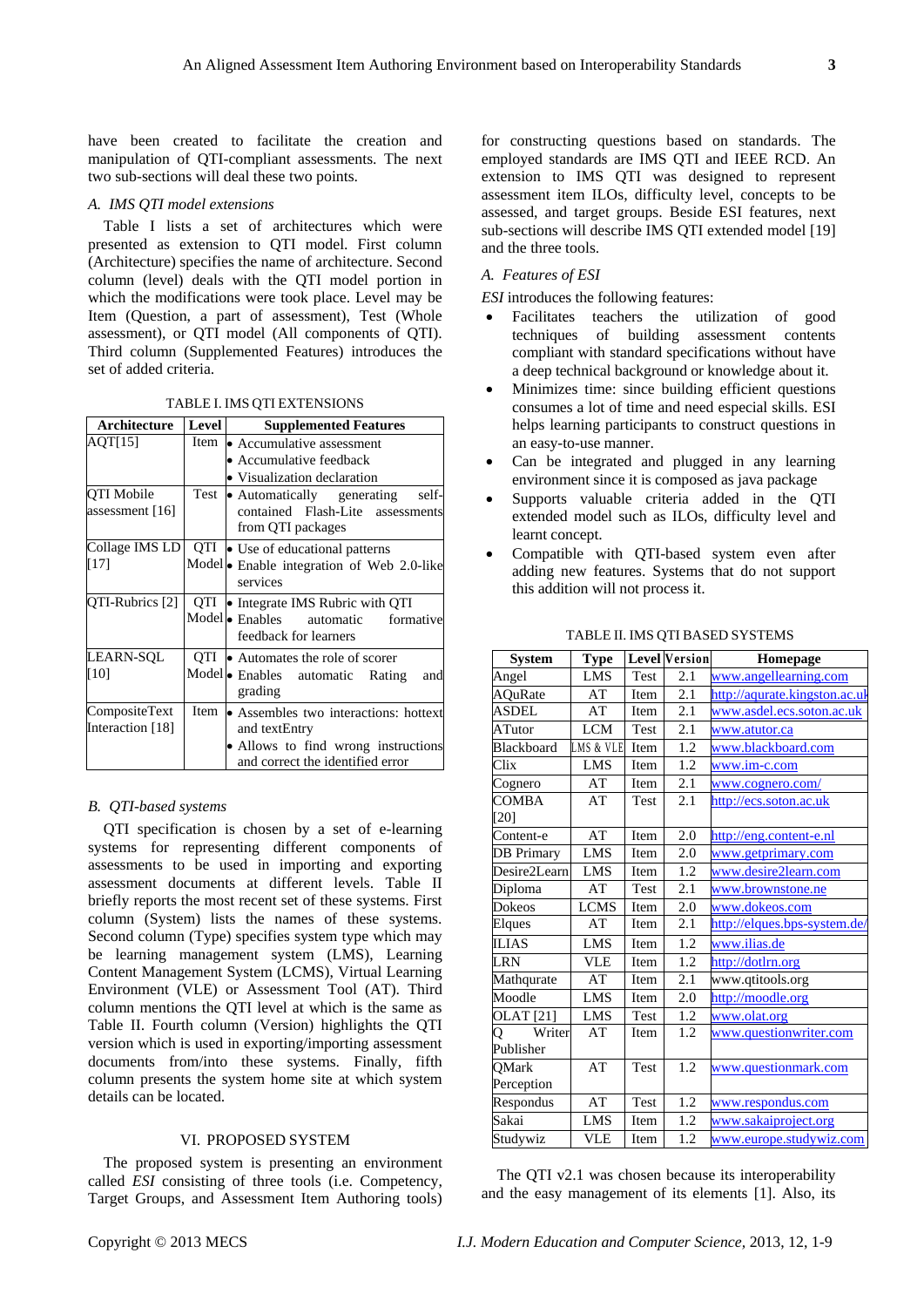have been created to facilitate the creation and manipulation of QTI-compliant assessments. The next two sub-sections will deal these two points.

# *A. IMS QTI model extensions*

Table I lists a set of architectures which were presented as extension to QTI model. First column (Architecture) specifies the name of architecture. Second column (level) deals with the QTI model portion in which the modifications were took place. Level may be Item (Question, a part of assessment), Test (Whole assessment), or QTI model (All components of QTI). Third column (Supplemented Features) introduces the set of added criteria.

#### TABLE I. IMS QTI EXTENSIONS

| <b>Architecture</b>               | Level | <b>Supplemented Features</b>                                                                                                      |
|-----------------------------------|-------|-----------------------------------------------------------------------------------------------------------------------------------|
| AQT[15]                           | Item  | • Accumulative assessment<br>• Accumulative feedback<br>• Visualization declaration                                               |
| QTI Mobile<br>assessment [16]     | Test  | • Automatically generating<br>self-<br>contained Flash-Lite assessments<br>from QTI packages                                      |
| Collage IMS LD<br>[17]            | QTI   | • Use of educational patterns<br>Model • Enable integration of Web 2.0-like<br>services                                           |
| QTI-Rubrics [2]                   | QTI   | • Integrate IMS Rubric with QTI<br>Model • Enables automatic<br>formative<br>feedback for learners                                |
| LEARN-SOL<br>[10]                 | QTI   | • Automates the role of scorer<br>Model • Enables automatic<br>Rating<br>and<br>grading                                           |
| CompositeText<br>Interaction [18] | Item  | • Assembles two interactions: hottext<br>and textEntry<br>• Allows to find wrong instructions<br>and correct the identified error |

# *B. QTI-based systems*

QTI specification is chosen by a set of e-learning systems for representing different components of assessments to be used in importing and exporting assessment documents at different levels. Table II briefly reports the most recent set of these systems. First column (System) lists the names of these systems. Second column (Type) specifies system type which may be learning management system (LMS), Learning Content Management System (LCMS), Virtual Learning Environment (VLE) or Assessment Tool (AT). Third column mentions the QTI level at which is the same as Table II. Fourth column (Version) highlights the QTI version which is used in exporting/importing assessment documents from/into these systems. Finally, fifth column presents the system home site at which system details can be located.

#### VI. PROPOSED SYSTEM

The proposed system is presenting an environment called *ESI* consisting of three tools (i.e. Competency, Target Groups, and Assessment Item Authoring tools)

for constructing questions based on standards. The employed standards are IMS QTI and IEEE RCD. An extension to IMS QTI was designed to represent assessment item ILOs, difficulty level, concepts to be assessed, and target groups. Beside ESI features, next sub-sections will describe IMS QTI extended model [19] and the three tools.

# *A. Features of ESI*

*ESI* introduces the following features:

- Facilitates teachers the utilization of good techniques of building assessment contents compliant with standard specifications without have a deep technical background or knowledge about it.
- Minimizes time: since building efficient questions consumes a lot of time and need especial skills. ESI helps learning participants to construct questions in an easy-to-use manner.
- Can be integrated and plugged in any learning environment since it is composed as java package
- Supports valuable criteria added in the QTI extended model such as ILOs, difficulty level and learnt concept.
- Compatible with QTI-based system even after adding new features. Systems that do not support this addition will not process it.

| <b>System</b>                         | <b>Type</b>            |      | <b>Level Version</b> | Homepage                      |
|---------------------------------------|------------------------|------|----------------------|-------------------------------|
| Angel                                 | LMS                    | Test | 2.1                  | www.angellearning.com         |
| <b>AQuRate</b>                        | AT                     | Item | 2.1                  | http://aqurate.kingston.ac.uk |
| ASDEL                                 | AT                     | Item | 2.1                  | www.asdel.ecs.soton.ac.uk     |
| <b>ATutor</b>                         | LCM                    | Test | 2.1                  | www.atutor.ca                 |
| Blackboard                            | LMS & VLE              | Item | 1.2                  | www.blackboard.com            |
| Clix                                  | <b>LMS</b>             | Item | 1.2                  | www.im-c.com                  |
| Cognero                               | AT                     | Item | 2.1                  | www.cognero.com/              |
| COMBA<br>$[20]$                       | AT                     | Test | 2.1                  | http://ecs.soton.ac.uk        |
| Content-e                             | AT                     | Item | 2.0                  | http://eng.content-e.nl       |
| <b>DB</b> Primary                     | <b>LMS</b>             | Item | 2.0                  | www.getprimary.com            |
| Desire2Learn                          | LMS                    | Item | 1.2                  | www.desire2learn.com          |
| Diploma                               | $\mathbf{A}\mathbf{T}$ | Test | 2.1                  | www.brownstone.ne             |
| Dokeos                                | <b>LCMS</b>            | Item | 2.0                  | www.dokeos.com                |
| Elques                                | AT                     | Item | 2.1                  | http://elques.bps-system.de/  |
| <b>ILIAS</b>                          | <b>LMS</b>             | Item | 1.2                  | www.ilias.de                  |
| <b>LRN</b>                            | <b>VLE</b>             | Item | $\overline{1.2}$     | http://dotlrn.org             |
| Mathqurate                            | AT                     | Item | 2.1                  | www.qtitools.org              |
| Moodle                                | <b>LMS</b>             | Item | 2.0                  | http://moodle.org             |
| <b>OLAT</b> [21]                      | <b>LMS</b>             | Test | 1.2                  | www.olat.org                  |
| $\overline{Q}$<br>Writer<br>Publisher | AT                     | Item | 1.2                  | www.questionwriter.com        |
| <b>OMark</b><br>Perception            | AT                     | Test | 1.2                  | www.questionmark.com          |
| Respondus                             | AT                     | Test | 1.2                  | www.respondus.com             |
| Sakai                                 | <b>LMS</b>             | Item | 1.2                  | www.sakaiproject.org          |
| Studywiz                              | <b>VLE</b>             | Item | 1.2                  | www.europe.studywiz.com       |

TABLE II. IMS QTI BASED SYSTEMS

The QTI v2.1 was chosen because its interoperability and the easy management of its elements [1]. Also, its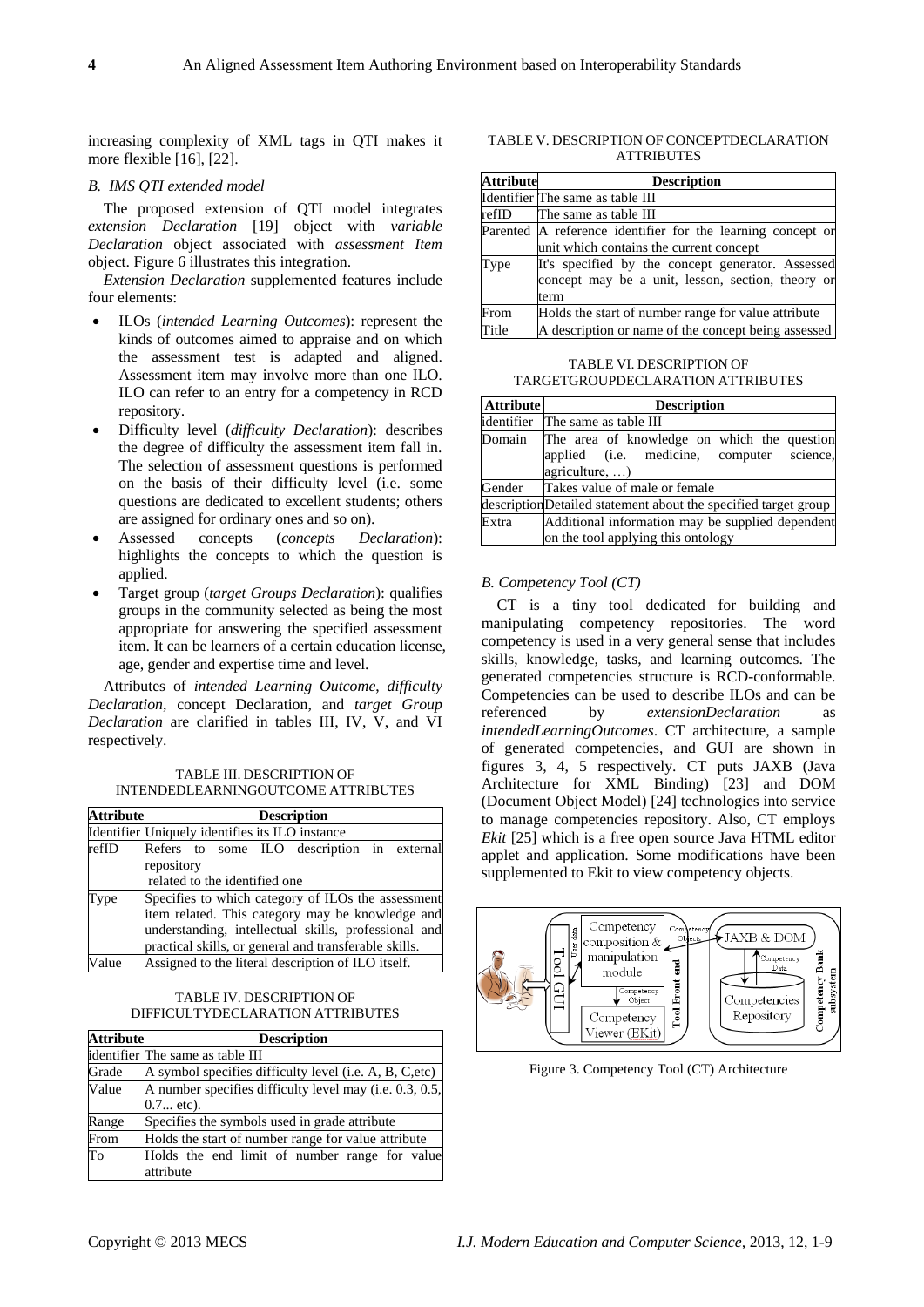increasing complexity of XML tags in QTI makes it more flexible [16], [22].

#### *B. IMS QTI extended model*

The proposed extension of QTI model integrates *extension Declaration* [19] object with *variable Declaration* object associated with *assessment Item* object. Figure 6 illustrates this integration.

*Extension Declaration* supplemented features include four elements:

- ILOs (*intended Learning Outcomes*): represent the kinds of outcomes aimed to appraise and on which the assessment test is adapted and aligned. Assessment item may involve more than one ILO. ILO can refer to an entry for a competency in RCD repository.
- Difficulty level (*difficulty Declaration*): describes the degree of difficulty the assessment item fall in. The selection of assessment questions is performed on the basis of their difficulty level (i.e. some questions are dedicated to excellent students; others are assigned for ordinary ones and so on).
- Assessed concepts (*concepts Declaration*): highlights the concepts to which the question is applied.
- Target group (*target Groups Declaration*): qualifies groups in the community selected as being the most appropriate for answering the specified assessment item. It can be learners of a certain education license, age, gender and expertise time and level.

Attributes of *intended Learning Outcome*, *difficulty Declaration*, concept Declaration, and *target Group Declaration* are clarified in tables III, IV, V, and VI respectively.

#### TABLE III. DESCRIPTION OF INTENDEDLEARNINGOUTCOME ATTRIBUTES

| <b>Attribute</b> | <b>Description</b>                                                                                                                                                                                                      |  |  |  |  |  |
|------------------|-------------------------------------------------------------------------------------------------------------------------------------------------------------------------------------------------------------------------|--|--|--|--|--|
|                  | Identifier Uniquely identifies its ILO instance                                                                                                                                                                         |  |  |  |  |  |
| refID            | Refers to some ILO description in external<br>repository                                                                                                                                                                |  |  |  |  |  |
|                  | related to the identified one                                                                                                                                                                                           |  |  |  |  |  |
| Type             | Specifies to which category of ILOs the assessment<br>item related. This category may be knowledge and<br>understanding, intellectual skills, professional and<br>practical skills, or general and transferable skills. |  |  |  |  |  |
| Value            | Assigned to the literal description of ILO itself.                                                                                                                                                                      |  |  |  |  |  |

# TABLE IV. DESCRIPTION OF DIFFICULTYDECLARATION ATTRIBUTES

| <b>Attribute</b> | <b>Description</b>                                      |  |  |  |  |
|------------------|---------------------------------------------------------|--|--|--|--|
|                  | identifier The same as table III                        |  |  |  |  |
| Grade            | A symbol specifies difficulty level (i.e. A, B, C, etc) |  |  |  |  |
| Value            | A number specifies difficulty level may (i.e. 0.3, 0.5, |  |  |  |  |
|                  | $0.7$ etc).                                             |  |  |  |  |
| Range            | Specifies the symbols used in grade attribute           |  |  |  |  |
| From             | Holds the start of number range for value attribute     |  |  |  |  |
| Tо               | Holds the end limit of number range for value           |  |  |  |  |
|                  | attribute                                               |  |  |  |  |

TABLE V. DESCRIPTION OF CONCEPTDECLARATION **ATTRIBUTES** 

| <b>Attribute</b> | <b>Description</b>                                          |  |  |  |  |
|------------------|-------------------------------------------------------------|--|--|--|--|
|                  | Identifier The same as table III                            |  |  |  |  |
| refID            | The same as table III                                       |  |  |  |  |
|                  | Parented A reference identifier for the learning concept or |  |  |  |  |
|                  | unit which contains the current concept                     |  |  |  |  |
| Type             | It's specified by the concept generator. Assessed           |  |  |  |  |
|                  | concept may be a unit, lesson, section, theory or           |  |  |  |  |
|                  | term                                                        |  |  |  |  |
| From             | Holds the start of number range for value attribute         |  |  |  |  |
| Title            | A description or name of the concept being assessed         |  |  |  |  |

TABLE VI. DESCRIPTION OF TARGETGROUPDECLARATION ATTRIBUTES

| <b>Attribute</b> | <b>Description</b>                                                                                                                                       |  |  |  |  |
|------------------|----------------------------------------------------------------------------------------------------------------------------------------------------------|--|--|--|--|
| identifier       | The same as table III                                                                                                                                    |  |  |  |  |
| Domain           | The area of knowledge on which the question<br>applied (i.e. medicine, computer science,<br>agriculture, )                                               |  |  |  |  |
| Gender           | Takes value of male or female                                                                                                                            |  |  |  |  |
|                  | descriptionDetailed statement about the specified target group<br>Additional information may be supplied dependent<br>on the tool applying this ontology |  |  |  |  |
| Extra            |                                                                                                                                                          |  |  |  |  |

## *B. Competency Tool (CT)*

CT is a tiny tool dedicated for building and manipulating competency repositories. The word competency is used in a very general sense that includes skills, knowledge, tasks, and learning outcomes. The generated competencies structure is RCD-conformable. Competencies can be used to describe ILOs and can be referenced by *extensionDeclaration intendedLearningOutcomes*. CT architecture, a sample of generated competencies, and GUI are shown in figures 3, 4, 5 respectively. CT puts JAXB (Java Architecture for XML Binding) [23] and DOM (Document Object Model) [24] technologies into service to manage competencies repository. Also, CT employs *Ekit* [25] which is a free open source Java HTML editor applet and application. Some modifications have been supplemented to Ekit to view competency objects.



Figure 3. Competency Tool (CT) Architecture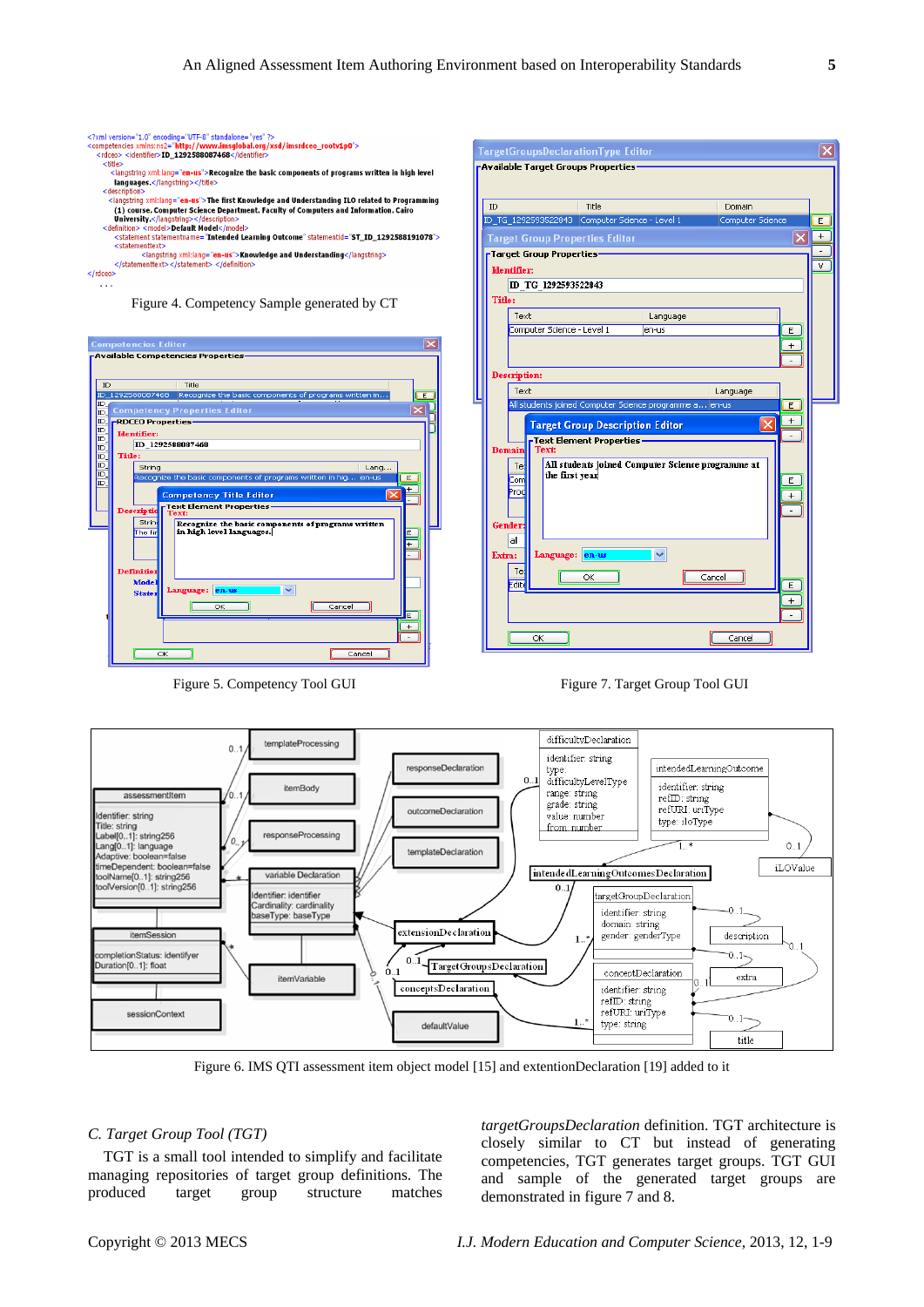|            | xml version="1.0" encoding="UTF-8" standalone="ves" ?<br><competencies xmlns:ns2="http://www.imsglobal.org/xsd/imsrdceo_rootv1p0"><br/><rdceo> <identifier>ID 1292588087468</identifier></rdceo></competencies> |               | <b>TargetGroupsDeclarationType Editor</b>              |          |                  |                         | $\overline{\mathsf{x}}$ |
|------------|-----------------------------------------------------------------------------------------------------------------------------------------------------------------------------------------------------------------|---------------|--------------------------------------------------------|----------|------------------|-------------------------|-------------------------|
|            | <title><br/><langstring xmi:lang="en-us">Recognize the basic components of programs written in high level<br/>languages </langstring></title><br><description></description>                                    |               | <b>Available Target Groups Properties</b>              |          |                  |                         |                         |
|            | <langstring xml:lang="en-us"> The first Knowledge and Understanding ILO related to Programming<br/>(1) course. Computer Science Department. Faculty of Computers and Information. Cairo</langstring>            | ID            | Title                                                  |          | Domain           |                         |                         |
|            | University.                                                                                                                                                                                                     |               | ID TG 1292593522843 Computer Science - Level 1         |          | Computer Science |                         | E                       |
|            | <definition> <model>Default Model</model><br/><statement statementid="ST_ID_1292588191078" statementname="Intended Learning Outcome"><br/><statementtext></statementtext></statement></definition>              |               | <b>Target Group Properties Editor</b>                  |          |                  | $\overline{\mathsf{x}}$ | $+$                     |
|            | <langstring xml:lang="en-us">Knowledge and Understanding</langstring>                                                                                                                                           |               | -Target Group Properties·                              |          |                  |                         | $\blacksquare$          |
|            |                                                                                                                                                                                                                 | Identifier:   |                                                        |          |                  |                         | v.                      |
| $\cdots$   |                                                                                                                                                                                                                 |               | ID TG 1292593522843                                    |          |                  |                         |                         |
|            | Figure 4. Competency Sample generated by CT                                                                                                                                                                     | Title:        |                                                        |          |                  |                         |                         |
|            |                                                                                                                                                                                                                 | Text          |                                                        | Language |                  |                         |                         |
|            |                                                                                                                                                                                                                 |               | Computer Science - Level 1                             | en-us    |                  | Ε                       |                         |
|            | <b>Competencies Editor</b>                                                                                                                                                                                      |               |                                                        |          |                  | $\ddot{}$               |                         |
|            | -Available Competencies Properties                                                                                                                                                                              |               |                                                        |          |                  | $\overline{a}$          |                         |
|            |                                                                                                                                                                                                                 | Description:  |                                                        |          |                  |                         |                         |
| ID         | Title<br>ID 1292588087468<br>Recognize the basic components of programs written in<br>E                                                                                                                         | Text          |                                                        |          | Language         |                         |                         |
| ID.<br>ID. | $\overline{\mathbf{x}}$<br><b>Competency Properties Editor</b>                                                                                                                                                  |               | All students joined Computer Science programme a en-us |          |                  | E                       |                         |
| ID         | <b>-RDCEO Properties</b>                                                                                                                                                                                        |               | <b>Target Group Description Editor</b>                 |          |                  | $+$                     |                         |
| ID<br>ID.  | Identifier:                                                                                                                                                                                                     |               | FText Element Properties-                              |          |                  | $\sim$                  |                         |
| ID.<br>ID. | ID 1292588087468<br>Title:                                                                                                                                                                                      | <b>Domain</b> | Text:                                                  |          |                  |                         |                         |
| ID,        | String<br>$L$ ang                                                                                                                                                                                               | Te:           | All students joined Computer Science programme at      |          |                  |                         |                         |
| ID.<br>ID. | Recognize the basic components of programs written in hig en-us<br>E                                                                                                                                            | Com           | the first year                                         |          |                  | E                       |                         |
|            | $+$<br><b>Competency Title Editor</b>                                                                                                                                                                           | Prod          |                                                        |          |                  | $^{+}$                  |                         |
|            | FText Element Properties<br><b>Descriptio</b><br>Text:                                                                                                                                                          |               |                                                        |          |                  |                         |                         |
|            | Strin<br>Recognize the basic components of programs written                                                                                                                                                     | Gender        |                                                        |          |                  |                         |                         |
|            | in high level languages.<br>The fir                                                                                                                                                                             | all           |                                                        |          |                  |                         |                         |
|            |                                                                                                                                                                                                                 | Extra:        | Language: en-us                                        |          |                  |                         |                         |
|            | Definitio                                                                                                                                                                                                       | Te            |                                                        |          |                  |                         |                         |
|            | <b>Mode</b>                                                                                                                                                                                                     | Edit          | OK                                                     | Cancel   |                  | E                       |                         |
|            | Language: en-us<br>$\overline{\phantom{0}}$<br><b>State</b>                                                                                                                                                     |               |                                                        |          |                  | $\ddot{}$               |                         |
|            | OK<br>Cancel<br>F.                                                                                                                                                                                              |               |                                                        |          |                  | $\blacksquare$          |                         |
|            | $+$                                                                                                                                                                                                             |               |                                                        |          |                  |                         |                         |
|            |                                                                                                                                                                                                                 |               | OK                                                     |          | Cancel           |                         |                         |
|            | ОΚ<br>Cancel                                                                                                                                                                                                    |               |                                                        |          |                  |                         |                         |

Figure 5. Competency Tool GUI Figure 7. Target Group Tool GUI



Figure 6. IMS QTI assessment item object model [15] and extentionDeclaration [19] added to it

# *C. Target Group Tool (TGT)*

TGT is a small tool intended to simplify and facilitate managing repositories of target group definitions. The produced target group structure matches *targetGroupsDeclaration* definition. TGT architecture is closely similar to CT but instead of generating competencies, TGT generates target groups. TGT GUI and sample of the generated target groups are demonstrated in figure 7 and 8.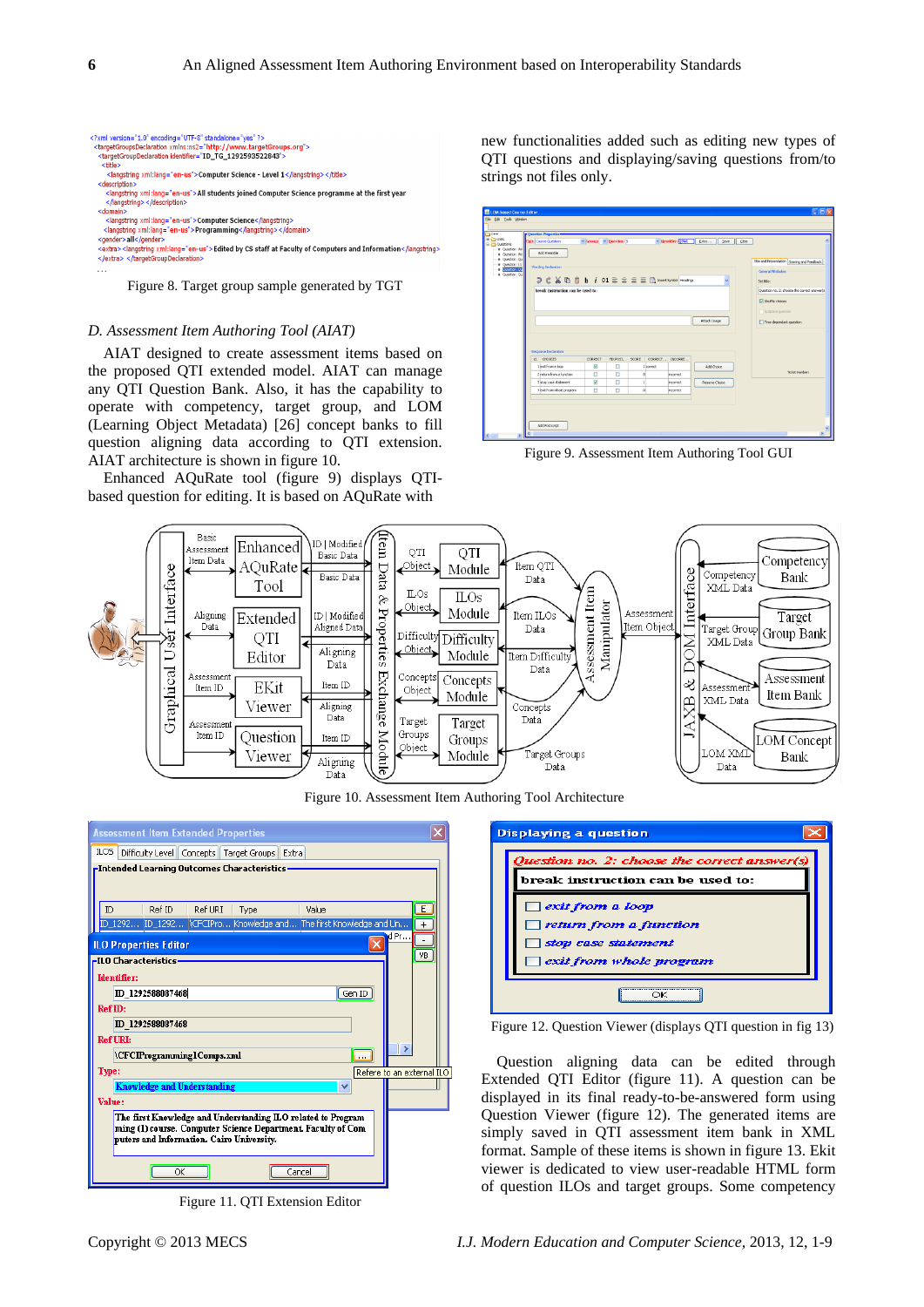

Figure 8. Target group sample generated by TGT

# *D. Assessment Item Authoring Tool (AIAT)*

AIAT designed to create assessment items based on the proposed QTI extended model. AIAT can manage any QTI Question Bank. Also, it has the capability to operate with competency, target group, and LOM (Learning Object Metadata) [26] concept banks to fill question aligning data according to QTI extension. AIAT architecture is shown in figure 10.

Enhanced AQuRate tool (figure 9) displays QTIbased question for editing. It is based on AQuRate with

new functionalities added such as editing new types of QTI questions and displaying/saving questions from/to strings not files only.



Figure 9. Assessment Item Authoring Tool GUI



Figure 10. Assessment Item Authoring Tool Architecture



Figure 11. QTI Extension Editor



Figure 12. Question Viewer (displays QTI question in fig 13)

Question aligning data can be edited through Extended QTI Editor (figure 11). A question can be displayed in its final ready-to-be-answered form using Question Viewer (figure 12). The generated items are simply saved in QTI assessment item bank in XML format. Sample of these items is shown in figure 13. Ekit viewer is dedicated to view user-readable HTML form of question ILOs and target groups. Some competency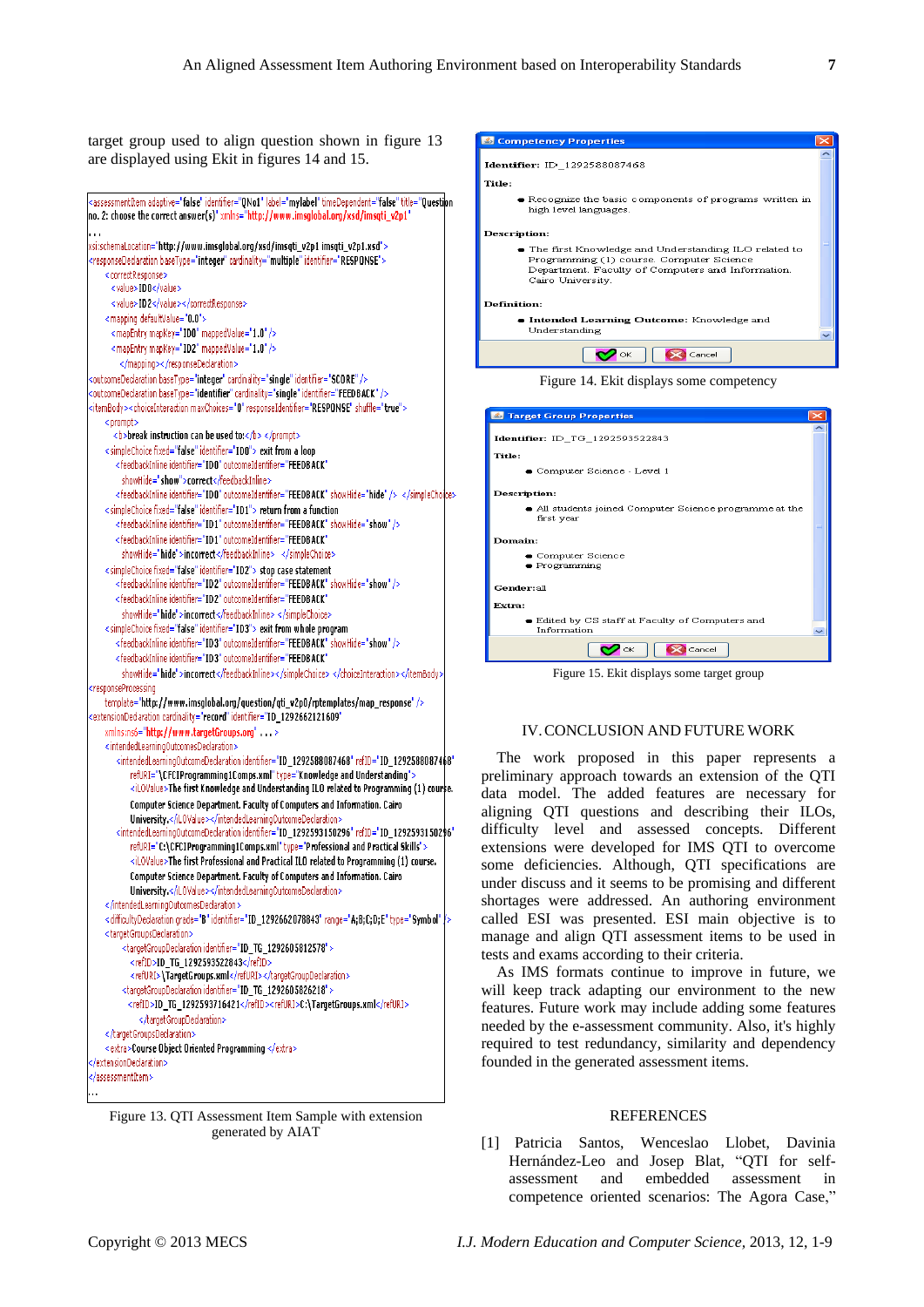target group used to align question shown in figure 13 are displayed using Ekit in figures 14 and 15.

```
«assessmentItem adaptive="false" identifier="ONo1" label="mylabel" timeDependent="false" title="Ouesti<mark>bn</mark> \
no. 2: choose the correct answer(s)" xmlns="http://www.imsglobal.org/xsd/imsqti_v2p1'
<si:schemaLocation="<mark>http://www.imsglobal.org/xsd/imsqti_v2p1 imsqti_v2p1.xsd"></mark>
<responseDeclaration baseType="integer" cardinality="multiple" identifier="RESPONSE">
   < correctResponse>
     <value>TDD</value>
     < value>ID2</value></correctResponse>
   <mapping defaultValue="0.0">
     <mapEntry mapKey="IDO" mappedValue="1.0" />
     <mapEntry mapKey="ID2" mappedValue="1.0" />
       </mapping></responseDeclaration>
<outcomeDeclaration baseType="integer" cardinality="single" identifier="SCORE" />
outcomeDeclaration baseType="identifier" cardinality="single" identifier="FEEDBACK" />
 itemBody><choiceInteraction maxChoices="0" responseIdentifier="RESPONSE" shuffle="true">
   |\langle b \rangle -break instruction can be used to: </b> </prompt>
   < simpleChoice fixed="false" identifier="IDO"> exit from a loop
      <feedbackInline identifier="IDO" outcomeIdentifier="FEEDBACK"
        showHide="show">correct</feedbackInline>
      <feedbackInline identifier="IDO" outcomeIdentifier="FEEDBACK" showHide="hide" /> </simpleChoice>
   <simpleChoice fixed="false" identifier="ID1"> return from a function
      <feedbackInline identifier="ID1" outcomeIdentifier="FEEDBACK" showHide="show" />
      <feedbackInline identifier="ID1" outcomeIdentifier="FEEDBACK"
        showHide="hide">incorrect</feedbackInline> </simpleChoice>
    < simpleChoice fixed="false" identifier="ID2"> stop case statement
      <feedbackInline identifier="ID2" outcomeIdentifier="FEEDBACK" showHide="show" />
      <feedbackInline identifier="ID2" outcomeIdentifier="FEEDBACK"
        showHide="hide">incorrect</feedbackInline> </simpleChoice>
   < simpleChoice fixed="false" identifier="ID3"> exit from whole program
      <feedbackInline identifier="ID3" outcomeIdentifier="FEEDBACK" showHide="show" />
      <feedbackInline identifier="ID3" outcomeIdentifier="FEEDBACK"
        showHide="hide">incorrect</feedbackInline></simpleChoice></choiceInteraction></temBody>
 responseProcessing
   template="http://www.imsglobal.org/question/qti_v2p0/rptemplates/map_response"/>
"extensionDedaration cardinality="record" identifier="ID_1292662121609"
   xmlns:ns6="http://www.targetGroups.org"...>
   <intendedLearningOutcomesDeclaration>
      <intendedLearningOutcomeDeclaration identifier="ID_1292588087468" refID="ID_1292588087468"
          refURI="\CFCIProgramming1Comps.xml" type="Knowledge and Understanding">
          <iLOValue>The first Knowledge and Understanding ILO related to Programming (1) course.
          Computer Science Department. Faculty of Computers and Information. Cairo
          University </iLOValue></intendedLearningOutcomeDeclaration>
      <intendedLearningOutcomeDeclaration identifier="ID_1292593150296" refID="ID_1292593150296"
          refURI="C:\CFCIProgramming1Comps.xml" type="Professional and Practical Skills">
          <iLOValue>The first Professional and Practical ILO related to Programming (1) course.
          Computer Science Department. Faculty of Computers and Information. Cairo
          University.</iLOValue></intendedLearningOutcomeDeclaration>
    </intendedLearningOutcomesDeclaration>
   <difficultyDeclaration grade="B" identifier="ID_1292662078843" range="A;B;C;D;E" type="Symbol"
   <targetGroupsDeclaration>
        <targetGroupDeclaration identifier="ID_TG_1292605812578">
          <refID>ID TG 1292593522843</refID>
          <refURI>\TargetGroups.xml</refURI></targetGroupDeclaration>
        <targetGroupDeclaration identifier="ID_TG_1292605826218">
          <refID>ID_TG_1292593716421</refID><refURI>C:\TargetGroups.xml</refURI>
             </targetGroupDedaration>
   </targetGroupsDeclaration>
   <extra>Course Object Oriented Programming </extra>
 extensionDeclaration:
 /assessmentItem>
```
Figure 13. QTI Assessment Item Sample with extension generated by AIAT





Figure 15. Ekit displays some target group

#### IV.CONCLUSION AND FUTURE WORK

The work proposed in this paper represents a preliminary approach towards an extension of the QTI data model. The added features are necessary for aligning QTI questions and describing their ILOs, difficulty level and assessed concepts. Different extensions were developed for IMS QTI to overcome some deficiencies. Although, QTI specifications are under discuss and it seems to be promising and different shortages were addressed. An authoring environment called ESI was presented. ESI main objective is to manage and align QTI assessment items to be used in tests and exams according to their criteria.

As IMS formats continue to improve in future, we will keep track adapting our environment to the new features. Future work may include adding some features needed by the e-assessment community. Also, it's highly required to test redundancy, similarity and dependency founded in the generated assessment items.

# **REFERENCES**

[1] Patricia Santos, Wenceslao Llobet, Davinia Hernández-Leo and Josep Blat, "QTI for selfassessment and embedded assessment in competence oriented scenarios: The Agora Case,"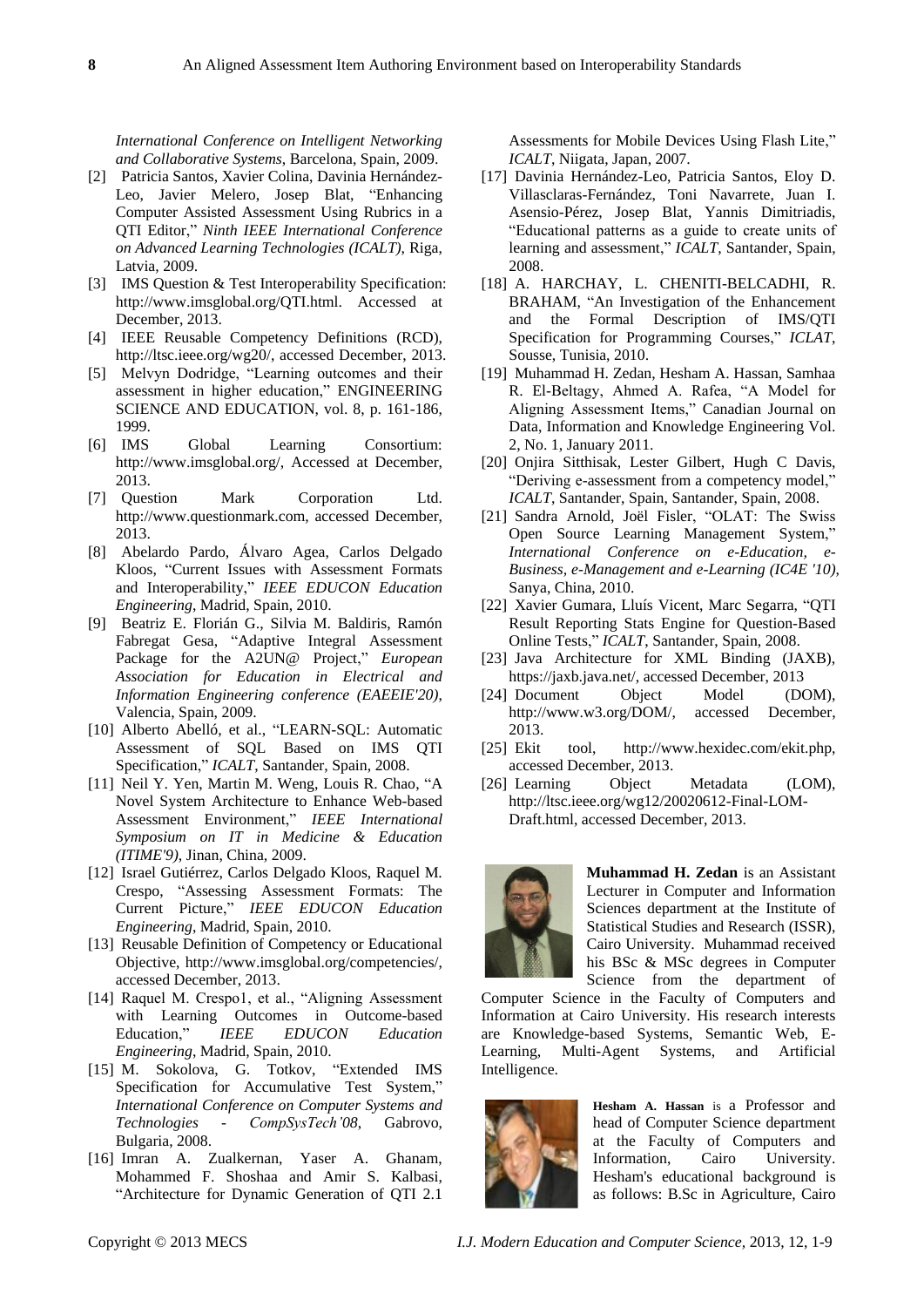*International Conference on Intelligent Networking and Collaborative Systems*, Barcelona, Spain, 2009.

- [2] Patricia Santos, Xavier Colina, Davinia Hernández-Leo, Javier Melero, Josep Blat, "Enhancing Computer Assisted Assessment Using Rubrics in a QTI Editor,‖ *Ninth IEEE International Conference on Advanced Learning Technologies (ICALT)*, Riga, Latvia, 2009.
- [3] IMS Question & Test Interoperability Specification: http://www.imsglobal.org/QTI.html. Accessed at December, 2013.
- [4] IEEE Reusable Competency Definitions (RCD), [http://ltsc.ieee.org/wg20/,](http://ltsc.ieee.org/wg20/) accessed December, 2013.
- [5] Melvyn Dodridge, "Learning outcomes and their assessment in higher education," ENGINEERING SCIENCE AND EDUCATION, vol. 8, p. 161-186, 1999.
- [6] IMS Global Learning Consortium: [http://www.imsglobal.org/,](http://www.imsglobal.org/) Accessed at December, 2013.
- [7] Question Mark Corporation Ltd. [http://www.questionmark.com,](http://www.questionmark.com/) accessed December, 2013.
- [8] Abelardo Pardo, Álvaro Agea, Carlos Delgado Kloos, "Current Issues with Assessment Formats and Interoperability," *IEEE EDUCON Education Engineering*, Madrid, Spain, 2010.
- [9] Beatriz E. Florián G., Silvia M. Baldiris, Ramón Fabregat Gesa, "Adaptive Integral Assessment Package for the A2UN@ Project," *European Association for Education in Electrical and Information Engineering conference (EAEEIE'20)*, Valencia, Spain, 2009.
- [10] Alberto Abelló, et al., "LEARN-SQL: Automatic Assessment of SQL Based on IMS QTI Specification," *ICALT*, Santander, Spain, 2008.
- [11] Neil Y. Yen, Martin M. Weng, Louis R. Chao, "A Novel System Architecture to Enhance Web-based Assessment Environment,‖ *IEEE International Symposium on IT in Medicine & Education (ITIME'9)*, Jinan, China, 2009.
- [12] Israel Gutiérrez, Carlos Delgado Kloos, Raquel M. Crespo, "Assessing Assessment Formats: The Current Picture," **IEEE EDUCON** Education *Engineering*, Madrid, Spain, 2010.
- [13] Reusable Definition of Competency or Educational Objective, [http://www.imsglobal.org/competencies/,](http://www.imsglobal.org/competencies/) accessed December, 2013.
- [14] Raquel M. Crespo1, et al., "Aligning Assessment with Learning Outcomes in Outcome-based Education,‖ *IEEE EDUCON Education Engineering*, Madrid, Spain, 2010.
- [15] M. Sokolova, G. Totkov, "Extended IMS Specification for Accumulative Test System," *International Conference on Computer Systems and Technologies - CompSysTech'08*, Gabrovo, Bulgaria, 2008.
- [16] Imran A. Zualkernan, Yaser A. Ghanam, Mohammed F. Shoshaa and Amir S. Kalbasi, "Architecture for Dynamic Generation of QTI 2.1

Assessments for Mobile Devices Using Flash Lite," *ICALT*, Niigata, Japan, 2007.

- [17] Davinia Hernández-Leo, Patricia Santos, Eloy D. Villasclaras-Fernández, Toni Navarrete, Juan I. Asensio-Pérez, Josep Blat, Yannis Dimitriadis, ―Educational patterns as a guide to create units of learning and assessment," *ICALT*, Santander, Spain, 2008.
- [18] A. HARCHAY, L. CHENITI-BELCADHI, R. BRAHAM, "An Investigation of the Enhancement and the Formal Description of IMS/QTI Specification for Programming Courses," *ICLAT*, Sousse, Tunisia, 2010.
- [19] Muhammad H. Zedan, Hesham A. Hassan, Samhaa R. El-Beltagy, Ahmed A. Rafea, "A Model for Aligning Assessment Items," Canadian Journal on Data, Information and Knowledge Engineering Vol. 2, No. 1, January 2011.
- [20] Onjira Sitthisak, Lester Gilbert, Hugh C Davis, "Deriving e-assessment from a competency model," *ICALT*, Santander, Spain, Santander, Spain, 2008.
- [21] Sandra Arnold, Joël Fisler, "OLAT: The Swiss Open Source Learning Management System," *International Conference on e-Education, e-Business, e-Management and e-Learning (IC4E '10)*, Sanya, China, 2010.
- [22] Xavier Gumara, Llu *f* Vicent, Marc Segarra, "OTI Result Reporting Stats Engine for Question-Based Online Tests,‖ *ICALT*, Santander, Spain, 2008.
- [23] Java Architecture for XML Binding (JAXB), [https://jaxb.java.net/,](https://jaxb.java.net/) accessed December, 2013
- [24] Document Object Model (DOM), [http://www.w3.org/DOM/,](http://www.w3.org/DOM/) accessed December, 2013.
- [25] Ekit tool, [http://www.hexidec.com/ekit.php,](http://www.hexidec.com/ekit.php) accessed December, 2013.
- [26] Learning Object Metadata (LOM), [http://ltsc.ieee.org/wg12/20020612-Final-LOM-](http://ltsc.ieee.org/wg12/20020612-Final-LOM-Draft.html)[Draft.html,](http://ltsc.ieee.org/wg12/20020612-Final-LOM-Draft.html) accessed December, 2013.



**Muhammad H. Zedan** is an Assistant Lecturer in Computer and Information Sciences department at the Institute of Statistical Studies and Research (ISSR), Cairo University. Muhammad received his BSc & MSc degrees in Computer Science from the department of

Computer Science in the Faculty of Computers and Information at Cairo University. His research interests are Knowledge-based Systems, Semantic Web, E-Learning, Multi-Agent Systems, and Artificial Intelligence.



**Hesham A. Hassan** is a Professor and head of Computer Science department at the Faculty of Computers and Information, Cairo University. Hesham's educational background is as follows: B.Sc in Agriculture, Cairo